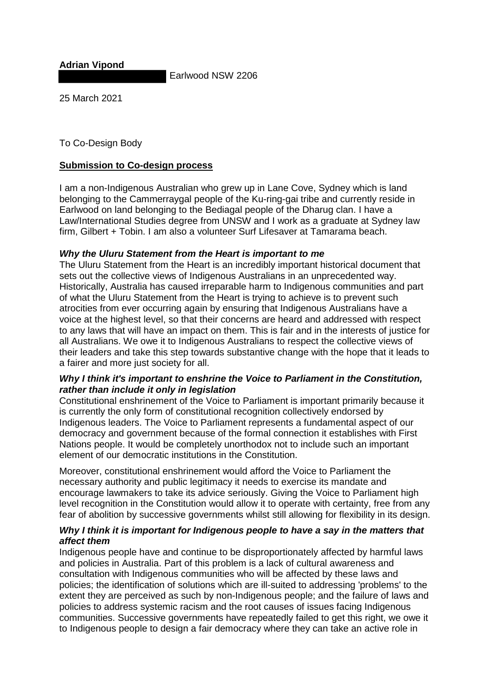**Adrian Vipond**

Earlwood NSW 2206

25 March 2021

# To Co-Design Body

# **Submission to Co-design process**

I am a non-Indigenous Australian who grew up in Lane Cove, Sydney which is land belonging to the Cammerraygal people of the Ku-ring-gai tribe and currently reside in Earlwood on land belonging to the Bediagal people of the Dharug clan. I have a Law/International Studies degree from UNSW and I work as a graduate at Sydney law firm, Gilbert + Tobin. I am also a volunteer Surf Lifesaver at Tamarama beach.

## *Why the Uluru Statement from the Heart is important to me*

The Uluru Statement from the Heart is an incredibly important historical document that sets out the collective views of Indigenous Australians in an unprecedented way. Historically, Australia has caused irreparable harm to Indigenous communities and part of what the Uluru Statement from the Heart is trying to achieve is to prevent such atrocities from ever occurring again by ensuring that Indigenous Australians have a voice at the highest level, so that their concerns are heard and addressed with respect to any laws that will have an impact on them. This is fair and in the interests of justice for all Australians. We owe it to Indigenous Australians to respect the collective views of their leaders and take this step towards substantive change with the hope that it leads to a fairer and more just society for all.

## *Why I think it's important to enshrine the Voice to Parliament in the Constitution, rather than include it only in legislation*

Constitutional enshrinement of the Voice to Parliament is important primarily because it is currently the only form of constitutional recognition collectively endorsed by Indigenous leaders. The Voice to Parliament represents a fundamental aspect of our democracy and government because of the formal connection it establishes with First Nations people. It would be completely unorthodox not to include such an important element of our democratic institutions in the Constitution.

Moreover, constitutional enshrinement would afford the Voice to Parliament the necessary authority and public legitimacy it needs to exercise its mandate and encourage lawmakers to take its advice seriously. Giving the Voice to Parliament high level recognition in the Constitution would allow it to operate with certainty, free from any fear of abolition by successive governments whilst still allowing for flexibility in its design.

## *Why I think it is important for Indigenous people to have a say in the matters that affect them*

Indigenous people have and continue to be disproportionately affected by harmful laws and policies in Australia. Part of this problem is a lack of cultural awareness and consultation with Indigenous communities who will be affected by these laws and policies; the identification of solutions which are ill-suited to addressing 'problems' to the extent they are perceived as such by non-Indigenous people; and the failure of laws and policies to address systemic racism and the root causes of issues facing Indigenous communities. Successive governments have repeatedly failed to get this right, we owe it to Indigenous people to design a fair democracy where they can take an active role in